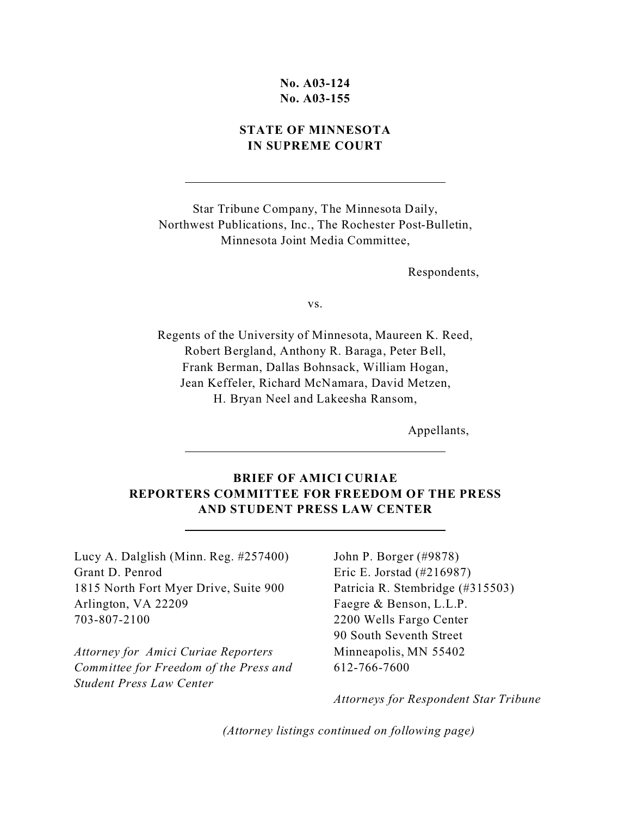## **No. A03-124 No. A03-155**

## **STATE OF MINNESOTA IN SUPREME COURT**

Star Tribune Company, The Minnesota Daily, Northwest Publications, Inc., The Rochester Post-Bulletin, Minnesota Joint Media Committee,

Respondents,

vs.

Regents of the University of Minnesota, Maureen K. Reed, Robert Bergland, Anthony R. Baraga, Peter Bell, Frank Berman, Dallas Bohnsack, William Hogan, Jean Keffeler, Richard McNamara, David Metzen, H. Bryan Neel and Lakeesha Ransom,

Appellants,

# **BRIEF OF AMICI CURIAE REPORTERS COMMITTEE FOR FREEDOM OF THE PRESS AND STUDENT PRESS LAW CENTER**

Lucy A. Dalglish (Minn. Reg. #257400) Grant D. Penrod 1815 North Fort Myer Drive, Suite 900 Arlington, VA 22209 703-807-2100

 $\overline{a}$ 

 $\overline{a}$ 

 $\overline{a}$ 

*Attorney for Amici Curiae Reporters Committee for Freedom of the Press and Student Press Law Center*

John P. Borger (#9878) Eric E. Jorstad (#216987) Patricia R. Stembridge (#315503) Faegre & Benson, L.L.P. 2200 Wells Fargo Center 90 South Seventh Street Minneapolis, MN 55402 612-766-7600

*Attorneys for Respondent Star Tribune*

*(Attorney listings continued on following page)*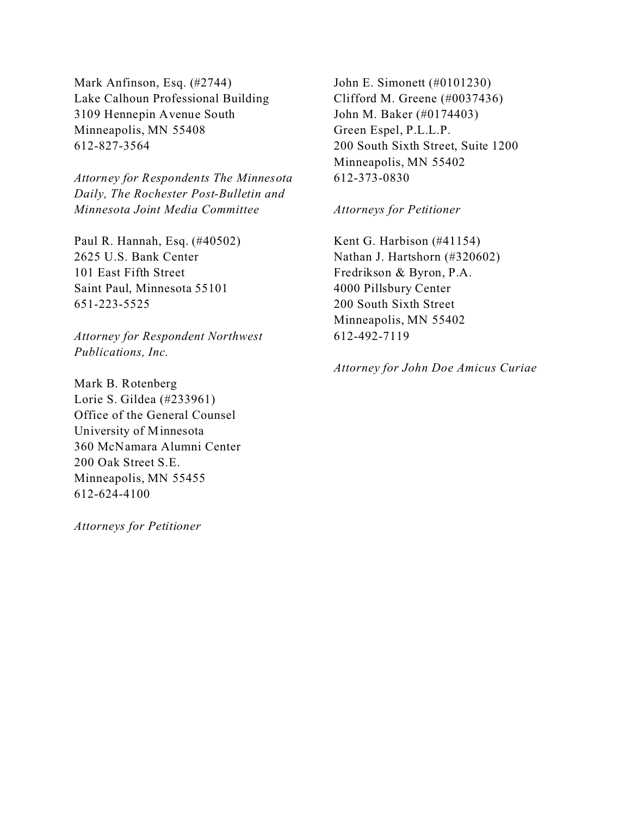Mark Anfinson, Esq. (#2744) Lake Calhoun Professional Building 3109 Hennepin Avenue South Minneapolis, MN 55408 612-827-3564

*Attorney for Respondents The Minnesota Daily, The Rochester Post-Bulletin and Minnesota Joint Media Committee*

Paul R. Hannah, Esq. (#40502) 2625 U.S. Bank Center 101 East Fifth Street Saint Paul, Minnesota 55101 651-223-5525

*Attorney for Respondent Northwest Publications, Inc.*

Mark B. Rotenberg Lorie S. Gildea (#233961) Office of the General Counsel University of Minnesota 360 McNamara Alumni Center 200 Oak Street S.E. Minneapolis, MN 55455 612-624-4100

*Attorneys for Petitioner*

John E. Simonett (#0101230) Clifford M. Greene (#0037436) John M. Baker (#0174403) Green Espel, P.L.L.P. 200 South Sixth Street, Suite 1200 Minneapolis, MN 55402 612-373-0830

*Attorneys for Petitioner*

Kent G. Harbison (#41154) Nathan J. Hartshorn (#320602) Fredrikson & Byron, P.A. 4000 Pillsbury Center 200 South Sixth Street Minneapolis, MN 55402 612-492-7119

*Attorney for John Doe Amicus Curiae*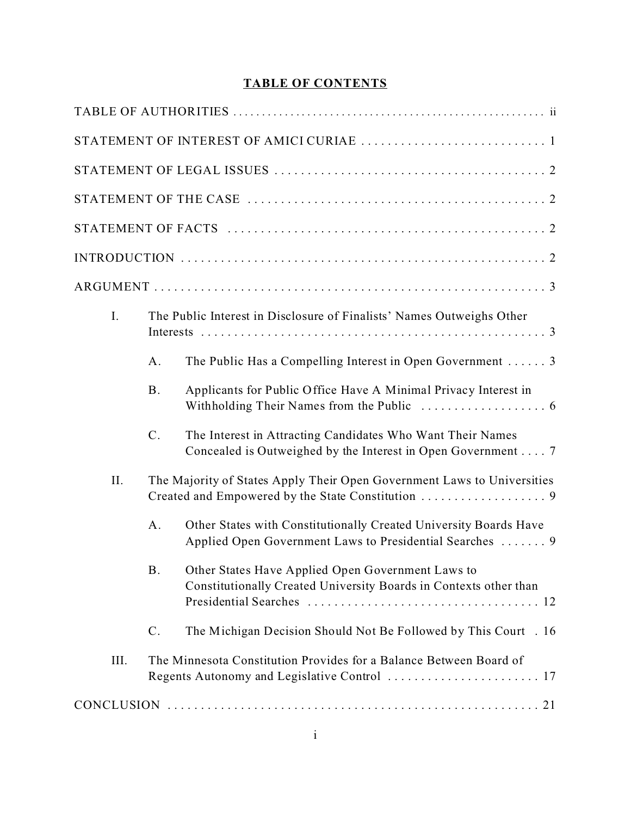# **TABLE OF CONTENTS**

| I.   |                                                                         | The Public Interest in Disclosure of Finalists' Names Outweighs Other                                                         |  |  |
|------|-------------------------------------------------------------------------|-------------------------------------------------------------------------------------------------------------------------------|--|--|
|      | A.                                                                      | The Public Has a Compelling Interest in Open Government  3                                                                    |  |  |
|      | <b>B.</b>                                                               | Applicants for Public Office Have A Minimal Privacy Interest in                                                               |  |  |
|      | $\mathcal{C}.$                                                          | The Interest in Attracting Candidates Who Want Their Names<br>Concealed is Outweighed by the Interest in Open Government 7    |  |  |
| II.  | The Majority of States Apply Their Open Government Laws to Universities |                                                                                                                               |  |  |
|      | A.                                                                      | Other States with Constitutionally Created University Boards Have<br>Applied Open Government Laws to Presidential Searches  9 |  |  |
|      | <b>B.</b>                                                               | Other States Have Applied Open Government Laws to<br>Constitutionally Created University Boards in Contexts other than        |  |  |
|      | $\mathcal{C}$ .                                                         | The Michigan Decision Should Not Be Followed by This Court . 16                                                               |  |  |
| III. |                                                                         | The Minnesota Constitution Provides for a Balance Between Board of                                                            |  |  |
|      |                                                                         |                                                                                                                               |  |  |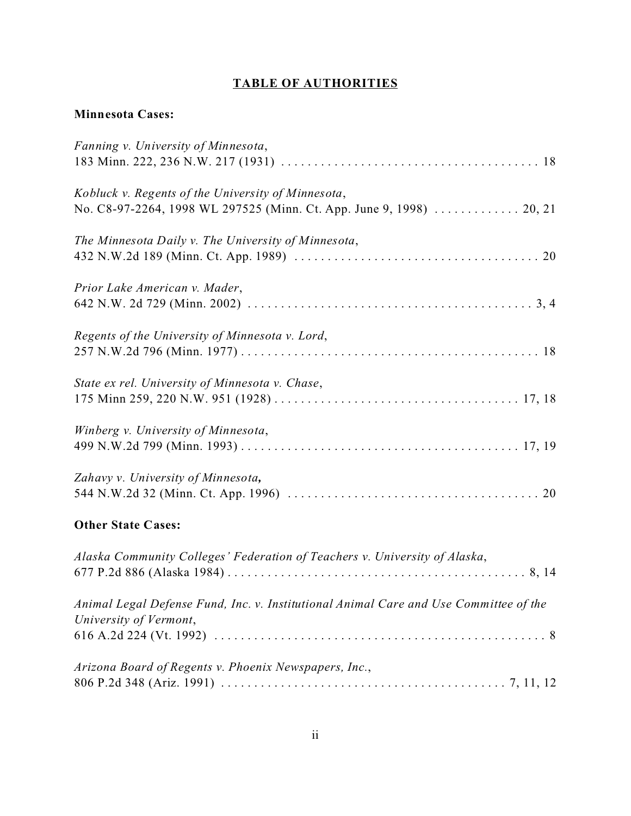# **TABLE OF AUTHORITIES**

# **Minnesota Cases:**

| Fanning v. University of Minnesota,                                                   |
|---------------------------------------------------------------------------------------|
|                                                                                       |
| Kobluck v. Regents of the University of Minnesota,                                    |
| No. C8-97-2264, 1998 WL 297525 (Minn. Ct. App. June 9, 1998)  20, 21                  |
| The Minnesota Daily v. The University of Minnesota,                                   |
|                                                                                       |
| Prior Lake American v. Mader,                                                         |
|                                                                                       |
| Regents of the University of Minnesota v. Lord,                                       |
|                                                                                       |
| State ex rel. University of Minnesota v. Chase,                                       |
|                                                                                       |
| Winberg v. University of Minnesota,                                                   |
|                                                                                       |
| Zahavy v. University of Minnesota,                                                    |
|                                                                                       |
| <b>Other State Cases:</b>                                                             |
| Alaska Community Colleges' Federation of Teachers v. University of Alaska,            |
|                                                                                       |
| Animal Legal Defense Fund, Inc. v. Institutional Animal Care and Use Committee of the |
| University of Vermont,                                                                |
|                                                                                       |
| Arizona Board of Regents v. Phoenix Newspapers, Inc.,                                 |
|                                                                                       |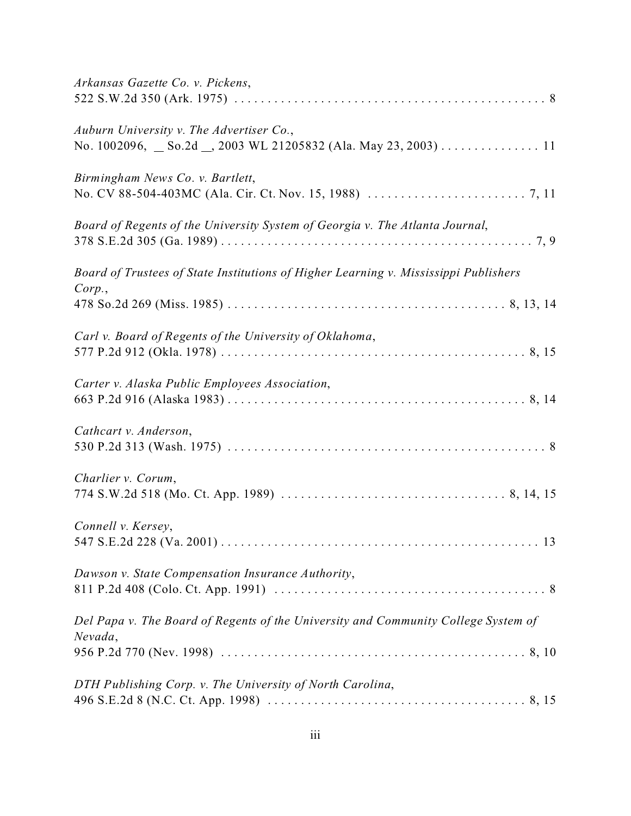| Arkansas Gazette Co. v. Pickens,                                                                          |
|-----------------------------------------------------------------------------------------------------------|
| Auburn University v. The Advertiser Co.,<br>No. 1002096, So.2d _, 2003 WL 21205832 (Ala. May 23, 2003) 11 |
| Birmingham News Co. v. Bartlett,                                                                          |
| Board of Regents of the University System of Georgia v. The Atlanta Journal,                              |
| Board of Trustees of State Institutions of Higher Learning v. Mississippi Publishers<br>Corp.             |
| Carl v. Board of Regents of the University of Oklahoma,                                                   |
| Carter v. Alaska Public Employees Association,                                                            |
| Cathcart v. Anderson,                                                                                     |
| Charlier v. Corum,                                                                                        |
| Connell v. Kersey,                                                                                        |
| Dawson v. State Compensation Insurance Authority,                                                         |
| Del Papa v. The Board of Regents of the University and Community College System of<br>Nevada,             |
| DTH Publishing Corp. v. The University of North Carolina,                                                 |
|                                                                                                           |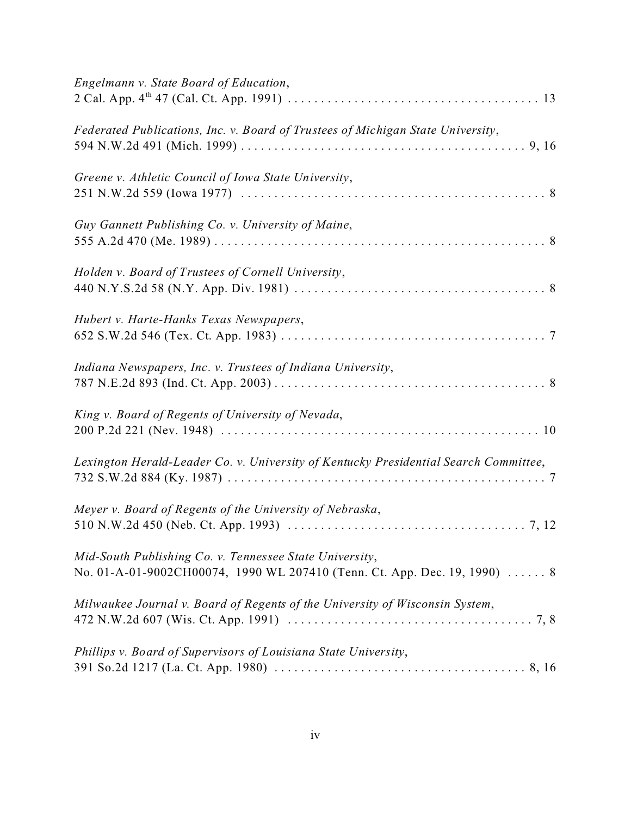| Engelmann v. State Board of Education,                                                                                               |
|--------------------------------------------------------------------------------------------------------------------------------------|
| Federated Publications, Inc. v. Board of Trustees of Michigan State University,                                                      |
| Greene v. Athletic Council of Iowa State University,                                                                                 |
| Guy Gannett Publishing Co. v. University of Maine,                                                                                   |
| Holden v. Board of Trustees of Cornell University,                                                                                   |
| Hubert v. Harte-Hanks Texas Newspapers,                                                                                              |
| Indiana Newspapers, Inc. v. Trustees of Indiana University,                                                                          |
| King v. Board of Regents of University of Nevada,                                                                                    |
| Lexington Herald-Leader Co. v. University of Kentucky Presidential Search Committee,                                                 |
| Meyer v. Board of Regents of the University of Nebraska,                                                                             |
| Mid-South Publishing Co. v. Tennessee State University,<br>No. 01-A-01-9002CH00074, 1990 WL 207410 (Tenn. Ct. App. Dec. 19, 1990)  8 |
| Milwaukee Journal v. Board of Regents of the University of Wisconsin System,                                                         |
| Phillips v. Board of Supervisors of Louisiana State University,                                                                      |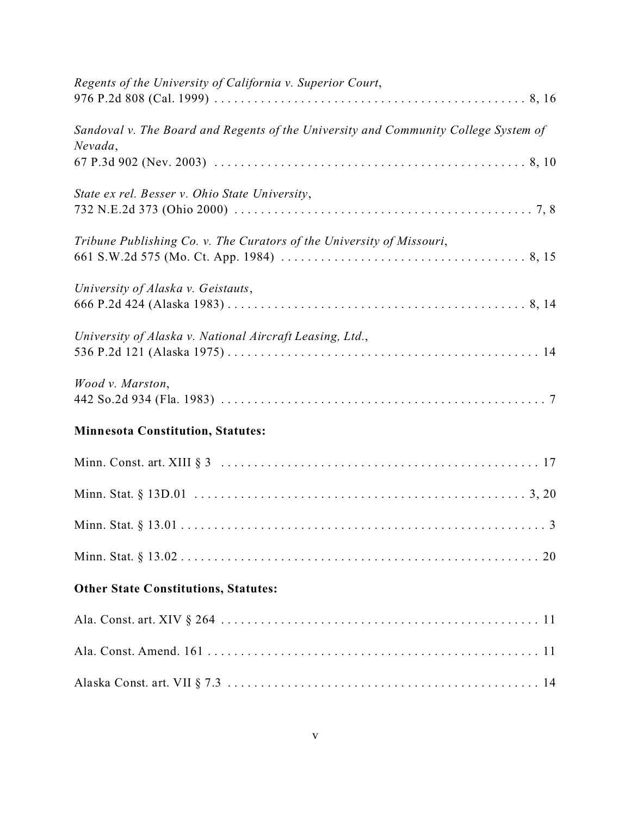| Regents of the University of California v. Superior Court,                                     |
|------------------------------------------------------------------------------------------------|
| Sandoval v. The Board and Regents of the University and Community College System of<br>Nevada, |
| State ex rel. Besser v. Ohio State University,                                                 |
| Tribune Publishing Co. v. The Curators of the University of Missouri,                          |
| University of Alaska v. Geistauts,                                                             |
| University of Alaska v. National Aircraft Leasing, Ltd.,                                       |
| Wood v. Marston,                                                                               |
| <b>Minnesota Constitution, Statutes:</b>                                                       |
|                                                                                                |
|                                                                                                |
|                                                                                                |
|                                                                                                |
| <b>Other State Constitutions, Statutes:</b>                                                    |
|                                                                                                |
|                                                                                                |
|                                                                                                |
|                                                                                                |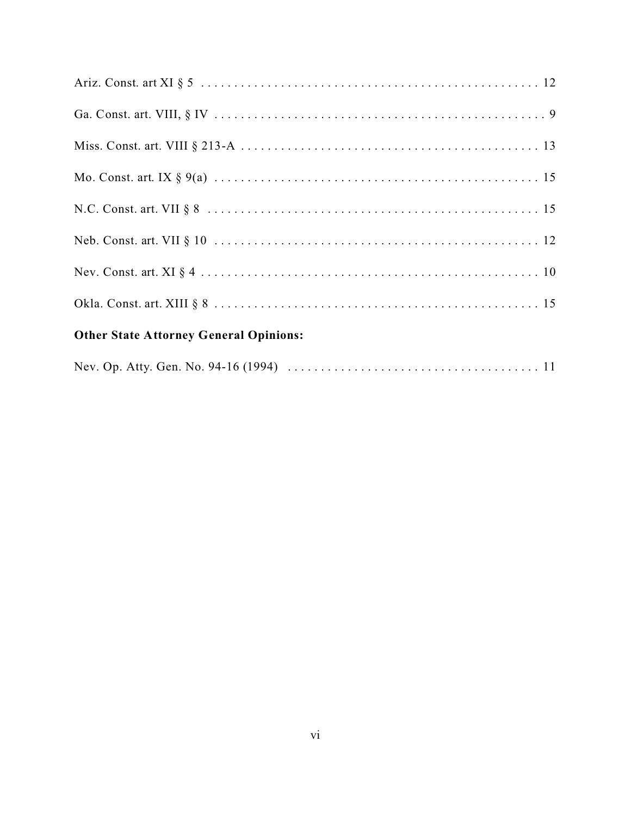| <b>Other State Attorney General Opinions:</b> |
|-----------------------------------------------|
|                                               |
|                                               |
|                                               |
|                                               |
|                                               |
|                                               |
|                                               |
|                                               |

|--|--|--|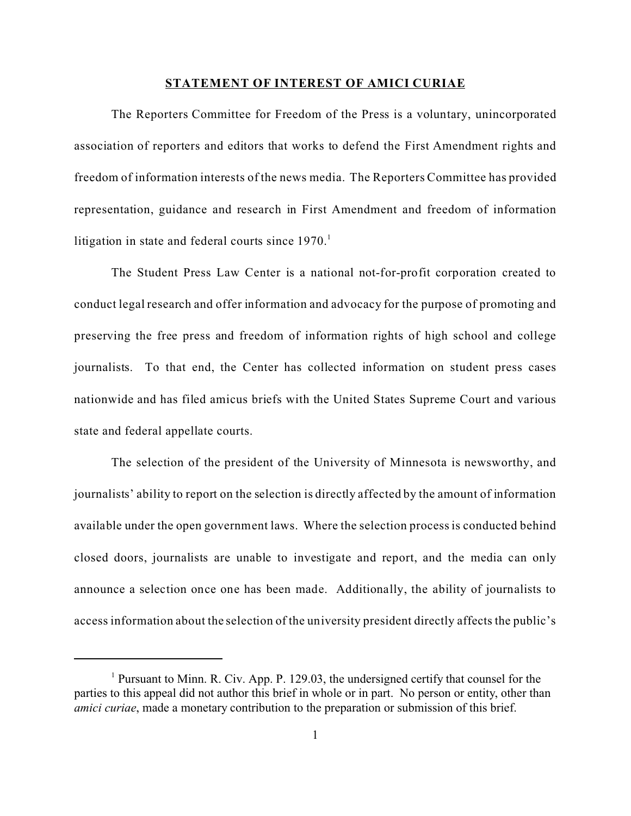#### **STATEMENT OF INTEREST OF AMICI CURIAE**

The Reporters Committee for Freedom of the Press is a voluntary, unincorporated association of reporters and editors that works to defend the First Amendment rights and freedom of information interests of the news media. The Reporters Committee has provided representation, guidance and research in First Amendment and freedom of information litigation in state and federal courts since  $1970<sup>1</sup>$ 

The Student Press Law Center is a national not-for-profit corporation created to conduct legal research and offer information and advocacy for the purpose of promoting and preserving the free press and freedom of information rights of high school and college journalists. To that end, the Center has collected information on student press cases nationwide and has filed amicus briefs with the United States Supreme Court and various state and federal appellate courts.

The selection of the president of the University of Minnesota is newsworthy, and journalists' ability to report on the selection is directly affected by the amount of information available under the open government laws. Where the selection process is conducted behind closed doors, journalists are unable to investigate and report, and the media can only announce a selection once one has been made. Additionally, the ability of journalists to access information about the selection of the university president directly affects the public's

<sup>&</sup>lt;sup>1</sup> Pursuant to Minn. R. Civ. App. P. 129.03, the undersigned certify that counsel for the parties to this appeal did not author this brief in whole or in part. No person or entity, other than *amici curiae*, made a monetary contribution to the preparation or submission of this brief.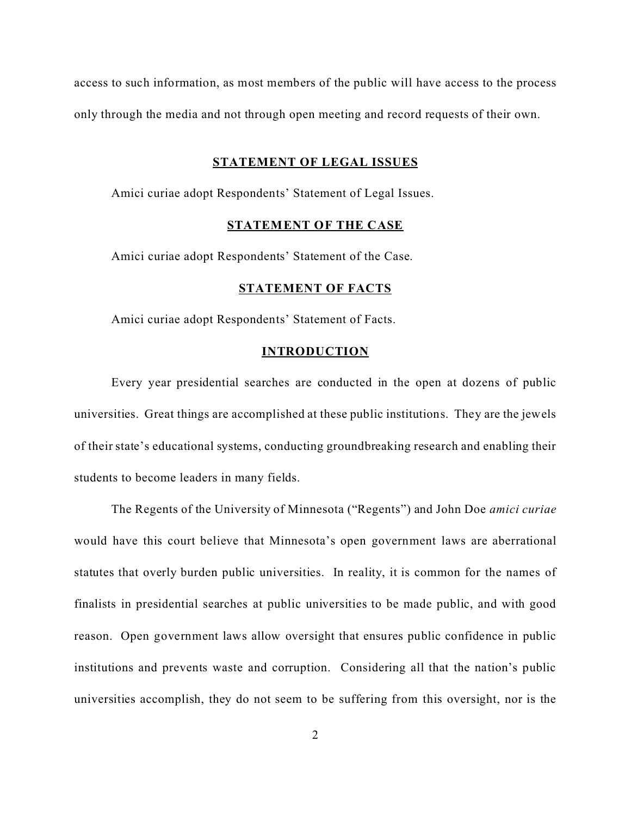access to such information, as most members of the public will have access to the process only through the media and not through open meeting and record requests of their own.

#### **STATEMENT OF LEGAL ISSUES**

Amici curiae adopt Respondents' Statement of Legal Issues.

### **STATEMENT OF THE CASE**

Amici curiae adopt Respondents' Statement of the Case.

### **STATEMENT OF FACTS**

Amici curiae adopt Respondents' Statement of Facts.

#### **INTRODUCTION**

Every year presidential searches are conducted in the open at dozens of public universities. Great things are accomplished at these public institutions. They are the jewels of their state's educational systems, conducting groundbreaking research and enabling their students to become leaders in many fields.

The Regents of the University of Minnesota ("Regents") and John Doe *amici curiae* would have this court believe that Minnesota's open government laws are aberrational statutes that overly burden public universities. In reality, it is common for the names of finalists in presidential searches at public universities to be made public, and with good reason. Open government laws allow oversight that ensures public confidence in public institutions and prevents waste and corruption. Considering all that the nation's public universities accomplish, they do not seem to be suffering from this oversight, nor is the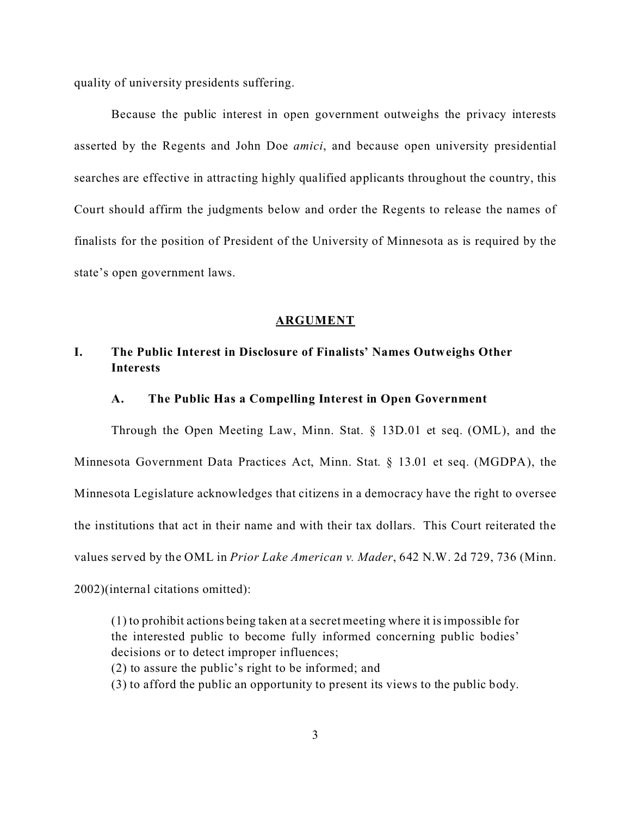quality of university presidents suffering.

Because the public interest in open government outweighs the privacy interests asserted by the Regents and John Doe *amici*, and because open university presidential searches are effective in attracting highly qualified applicants throughout the country, this Court should affirm the judgments below and order the Regents to release the names of finalists for the position of President of the University of Minnesota as is required by the state's open government laws.

#### **ARGUMENT**

## **I. The Public Interest in Disclosure of Finalists' Names Outweighs Other Interests**

#### **A. The Public Has a Compelling Interest in Open Government**

Through the Open Meeting Law, Minn. Stat. § 13D.01 et seq. (OML), and the Minnesota Government Data Practices Act, Minn. Stat. § 13.01 et seq. (MGDPA), the Minnesota Legislature acknowledges that citizens in a democracy have the right to oversee the institutions that act in their name and with their tax dollars.This Court reiterated the values served by the OML in *Prior Lake American v. Mader*, 642 N.W. 2d 729, 736 (Minn. 2002)(internal citations omitted):

(1) to prohibit actions being taken at a secret meeting where it is impossible for the interested public to become fully informed concerning public bodies' decisions or to detect improper influences;

(2) to assure the public's right to be informed; and

(3) to afford the public an opportunity to present its views to the public body.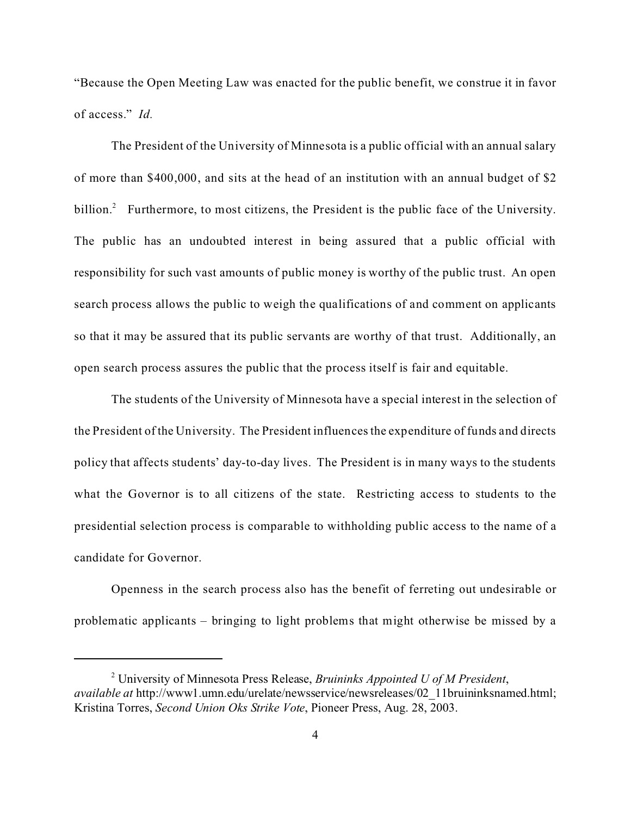"Because the Open Meeting Law was enacted for the public benefit, we construe it in favor of access." *Id.*

The President of the University of Minnesota is a public official with an annual salary of more than \$400,000, and sits at the head of an institution with an annual budget of \$2 billion.<sup>2</sup> Furthermore, to most citizens, the President is the public face of the University. The public has an undoubted interest in being assured that a public official with responsibility for such vast amounts of public money is worthy of the public trust. An open search process allows the public to weigh the qualifications of and comment on applicants so that it may be assured that its public servants are worthy of that trust. Additionally, an open search process assures the public that the process itself is fair and equitable.

The students of the University of Minnesota have a special interest in the selection of the President of the University. The President influences the expenditure of funds and directs policy that affects students' day-to-day lives. The President is in many ways to the students what the Governor is to all citizens of the state. Restricting access to students to the presidential selection process is comparable to withholding public access to the name of a candidate for Governor.

Openness in the search process also has the benefit of ferreting out undesirable or problematic applicants – bringing to light problems that might otherwise be missed by a

<sup>2</sup> University of Minnesota Press Release, *Bruininks Appointed U of M President*, *available at http://www1.umn.edu/urelate/newsservice/newsreleases/02\_11bruininksnamed.html;* Kristina Torres, *Second Union Oks Strike Vote*, Pioneer Press, Aug. 28, 2003.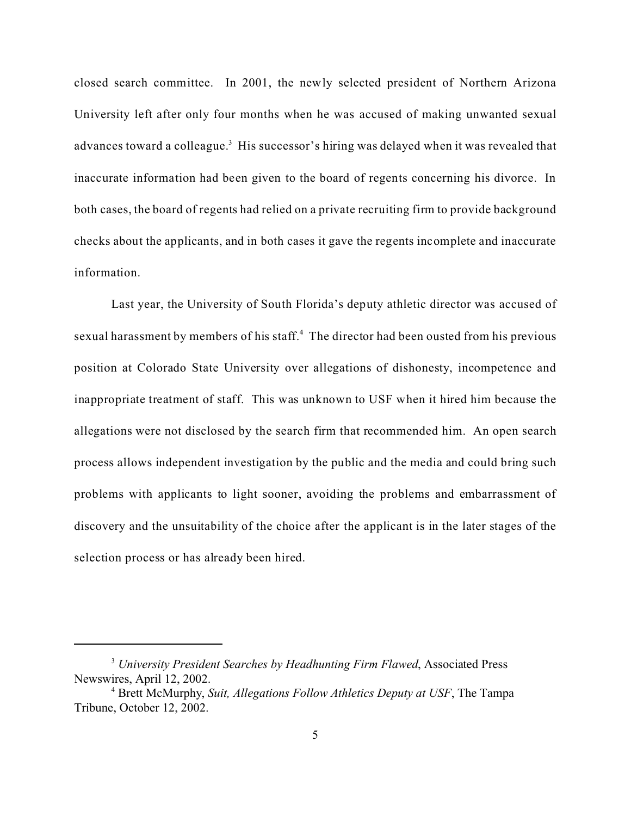closed search committee. In 2001, the newly selected president of Northern Arizona University left after only four months when he was accused of making unwanted sexual advances toward a colleague.<sup>3</sup> His successor's hiring was delayed when it was revealed that inaccurate information had been given to the board of regents concerning his divorce. In both cases, the board of regents had relied on a private recruiting firm to provide background checks about the applicants, and in both cases it gave the regents incomplete and inaccurate information.

Last year, the University of South Florida's deputy athletic director was accused of sexual harassment by members of his staff. $4$  The director had been ousted from his previous position at Colorado State University over allegations of dishonesty, incompetence and inappropriate treatment of staff. This was unknown to USF when it hired him because the allegations were not disclosed by the search firm that recommended him. An open search process allows independent investigation by the public and the media and could bring such problems with applicants to light sooner, avoiding the problems and embarrassment of discovery and the unsuitability of the choice after the applicant is in the later stages of the selection process or has already been hired.

<sup>3</sup>  *University President Searches by Headhunting Firm Flawed*, Associated Press Newswires, April 12, 2002.

<sup>4</sup> Brett McMurphy, *Suit, Allegations Follow Athletics Deputy at USF*, The Tampa Tribune, October 12, 2002.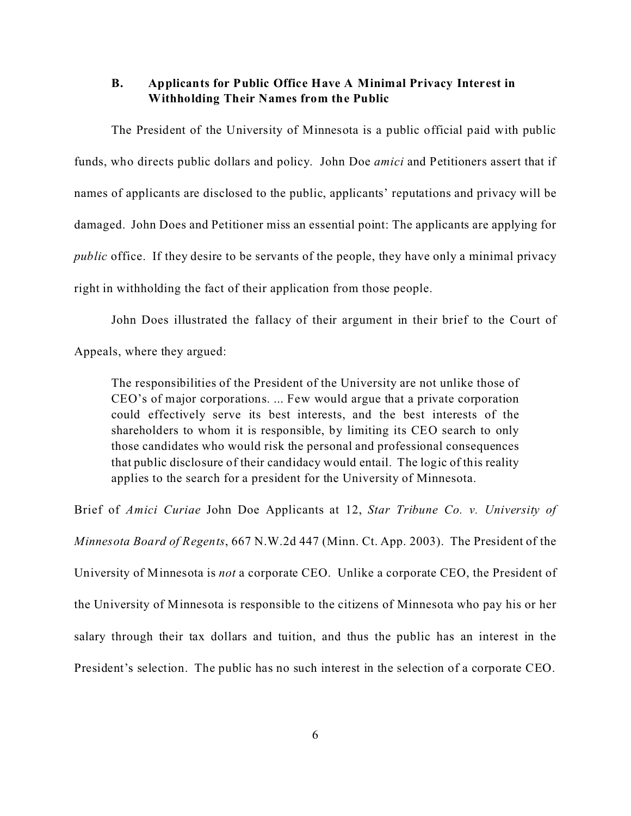### **B. Applicants for Public Office Have A Minimal Privacy Interest in Withholding Their Names from the Public**

The President of the University of Minnesota is a public official paid with public funds, who directs public dollars and policy. John Doe *amici* and Petitioners assert that if names of applicants are disclosed to the public, applicants' reputations and privacy will be damaged. John Does and Petitioner miss an essential point: The applicants are applying for *public* office. If they desire to be servants of the people, they have only a minimal privacy right in withholding the fact of their application from those people.

John Does illustrated the fallacy of their argument in their brief to the Court of Appeals, where they argued:

The responsibilities of the President of the University are not unlike those of CEO's of major corporations. ... Few would argue that a private corporation could effectively serve its best interests, and the best interests of the shareholders to whom it is responsible, by limiting its CEO search to only those candidates who would risk the personal and professional consequences that public disclosure of their candidacy would entail. The logic of this reality applies to the search for a president for the University of Minnesota.

Brief of *Amici Curiae* John Doe Applicants at 12, *Star Tribune Co. v. University of Minnesota Board of Regents*, 667 N.W.2d 447 (Minn. Ct. App. 2003). The President of the University of Minnesota is *not* a corporate CEO. Unlike a corporate CEO, the President of the University of Minnesota is responsible to the citizens of Minnesota who pay his or her salary through their tax dollars and tuition, and thus the public has an interest in the President's selection. The public has no such interest in the selection of a corporate CEO.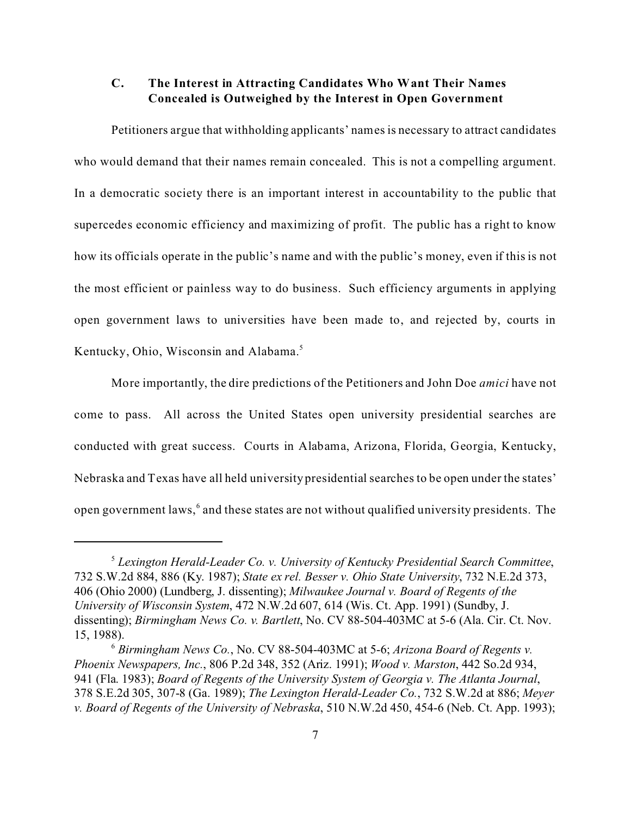## **C. The Interest in Attracting Candidates Who Want Their Names Concealed is Outweighed by the Interest in Open Government**

Petitioners argue that withholding applicants' names is necessary to attract candidates who would demand that their names remain concealed. This is not a compelling argument. In a democratic society there is an important interest in accountability to the public that supercedes economic efficiency and maximizing of profit. The public has a right to know how its officials operate in the public's name and with the public's money, even if this is not the most efficient or painless way to do business. Such efficiency arguments in applying open government laws to universities have been made to, and rejected by, courts in Kentucky, Ohio, Wisconsin and Alabama.<sup>5</sup>

More importantly, the dire predictions of the Petitioners and John Doe *amici* have not come to pass. All across the United States open university presidential searches are conducted with great success. Courts in Alabama, Arizona, Florida, Georgia, Kentucky, Nebraska and Texas have all held university presidential searches to be open under the states' open government laws, $^6$  and these states are not without qualified university presidents. The

<sup>5</sup>  *Lexington Herald-Leader Co. v. University of Kentucky Presidential Search Committee*, 732 S.W.2d 884, 886 (Ky. 1987); *State ex rel. Besser v. Ohio State University*, 732 N.E.2d 373, 406 (Ohio 2000) (Lundberg, J. dissenting); *Milwaukee Journal v. Board of Regents of the University of Wisconsin System*, 472 N.W.2d 607, 614 (Wis. Ct. App. 1991) (Sundby, J. dissenting); *Birmingham News Co. v. Bartlett*, No. CV 88-504-403MC at 5-6 (Ala. Cir. Ct. Nov. 15, 1988).

<sup>6</sup>  *Birmingham News Co.*, No. CV 88-504-403MC at 5-6; *Arizona Board of Regents v. Phoenix Newspapers, Inc.*, 806 P.2d 348, 352 (Ariz. 1991); *Wood v. Marston*, 442 So.2d 934, 941 (Fla. 1983); *Board of Regents of the University System of Georgia v. The Atlanta Journal*, 378 S.E.2d 305, 307-8 (Ga. 1989); *The Lexington Herald-Leader Co.*, 732 S.W.2d at 886; *Meyer v. Board of Regents of the University of Nebraska*, 510 N.W.2d 450, 454-6 (Neb. Ct. App. 1993);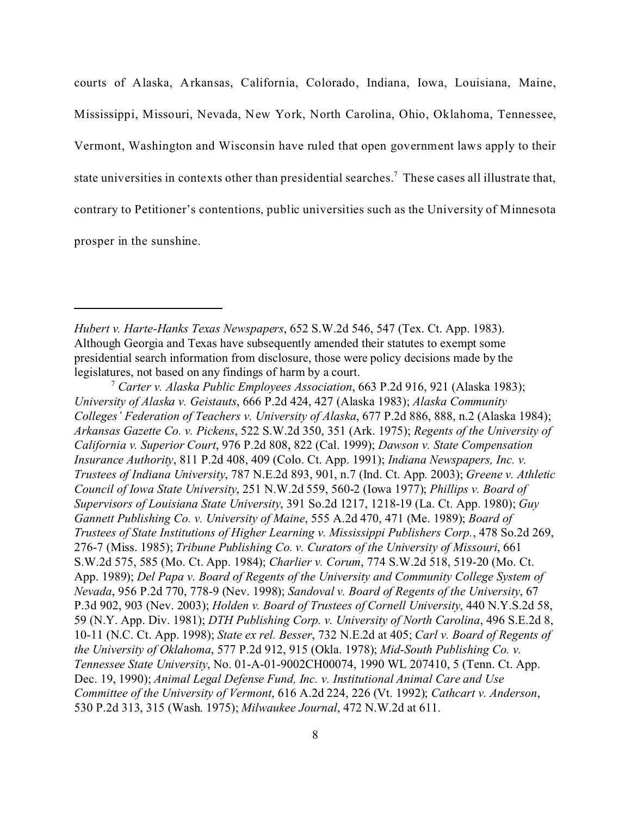courts of Alaska, Arkansas, California, Colorado, Indiana, Iowa, Louisiana, Maine, Mississippi, Missouri, Nevada, New York, North Carolina, Ohio, Oklahoma, Tennessee, Vermont, Washington and Wisconsin have ruled that open government laws apply to their state universities in contexts other than presidential searches.<sup>7</sup> These cases all illustrate that, contrary to Petitioner's contentions, public universities such as the University of Minnesota prosper in the sunshine.

*Hubert v. Harte-Hanks Texas Newspapers*, 652 S.W.2d 546, 547 (Tex. Ct. App. 1983). Although Georgia and Texas have subsequently amended their statutes to exempt some presidential search information from disclosure, those were policy decisions made by the legislatures, not based on any findings of harm by a court.

<sup>7</sup>  *Carter v. Alaska Public Employees Association*, 663 P.2d 916, 921 (Alaska 1983); *University of Alaska v. Geistauts*, 666 P.2d 424, 427 (Alaska 1983); *Alaska Community Colleges' Federation of Teachers v. University of Alaska*, 677 P.2d 886, 888, n.2 (Alaska 1984); *Arkansas Gazette Co. v. Pickens*, 522 S.W.2d 350, 351 (Ark. 1975); *Regents of the University of California v. Superior Court*, 976 P.2d 808, 822 (Cal. 1999); *Dawson v. State Compensation Insurance Authority*, 811 P.2d 408, 409 (Colo. Ct. App. 1991); *Indiana Newspapers, Inc. v. Trustees of Indiana University*, 787 N.E.2d 893, 901, n.7 (Ind. Ct. App. 2003); *Greene v. Athletic Council of Iowa State University*, 251 N.W.2d 559, 560-2 (Iowa 1977); *Phillips v. Board of Supervisors of Louisiana State University*, 391 So.2d 1217, 1218-19 (La. Ct. App. 1980); *Guy Gannett Publishing Co. v. University of Maine*, 555 A.2d 470, 471 (Me. 1989); *Board of Trustees of State Institutions of Higher Learning v. Mississippi Publishers Corp.*, 478 So.2d 269, 276-7 (Miss. 1985); *Tribune Publishing Co. v. Curators of the University of Missouri*, 661 S.W.2d 575, 585 (Mo. Ct. App. 1984); *Charlier v. Corum*, 774 S.W.2d 518, 519-20 (Mo. Ct. App. 1989); *Del Papa v. Board of Regents of the University and Community College System of Nevada*, 956 P.2d 770, 778-9 (Nev. 1998); *Sandoval v. Board of Regents of the University*, 67 P.3d 902, 903 (Nev. 2003); *Holden v. Board of Trustees of Cornell University*, 440 N.Y.S.2d 58, 59 (N.Y. App. Div. 1981); *DTH Publishing Corp. v. University of North Carolina*, 496 S.E.2d 8, 10-11 (N.C. Ct. App. 1998); *State ex rel. Besser*, 732 N.E.2d at 405; *Carl v. Board of Regents of the University of Oklahoma*, 577 P.2d 912, 915 (Okla. 1978); *Mid-South Publishing Co. v. Tennessee State University*, No. 01-A-01-9002CH00074, 1990 WL 207410, 5 (Tenn. Ct. App. Dec. 19, 1990); *Animal Legal Defense Fund, Inc. v. Institutional Animal Care and Use Committee of the University of Vermont*, 616 A.2d 224, 226 (Vt. 1992); *Cathcart v. Anderson*, 530 P.2d 313, 315 (Wash. 1975); *Milwaukee Journal*, 472 N.W.2d at 611.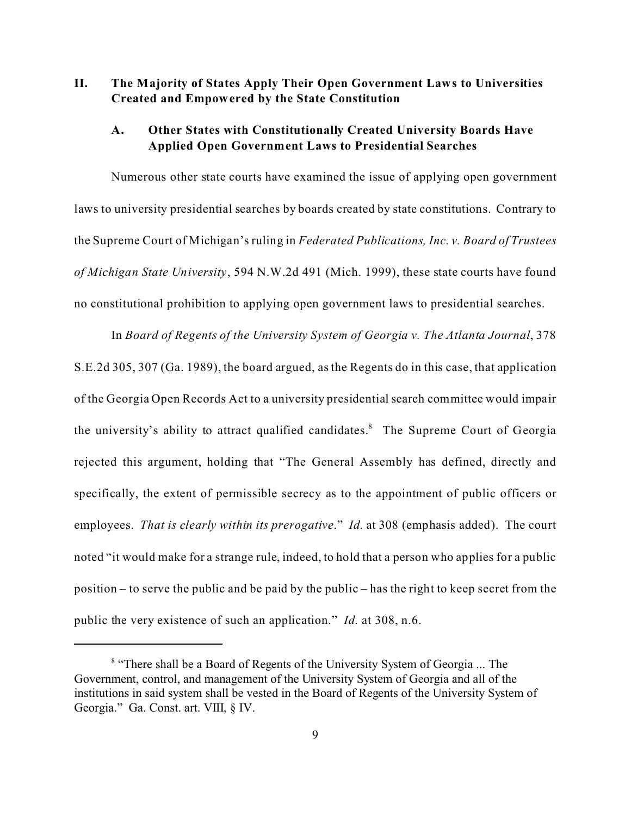## **II. The Majority of States Apply Their Open Government Laws to Universities Created and Empowered by the State Constitution**

### **A. Other States with Constitutionally Created University Boards Have Applied Open Government Laws to Presidential Searches**

Numerous other state courts have examined the issue of applying open government laws to university presidential searches by boards created by state constitutions. Contrary to the Supreme Court of Michigan's ruling in *Federated Publications, Inc. v. Board of Trustees of Michigan State University*, 594 N.W.2d 491 (Mich. 1999), these state courts have found no constitutional prohibition to applying open government laws to presidential searches.

In *Board of Regents of the University System of Georgia v. The Atlanta Journal*, 378 S.E.2d 305, 307 (Ga. 1989), the board argued, as the Regents do in this case, that application of the Georgia Open Records Act to a university presidential search committee would impair the university's ability to attract qualified candidates.<sup>8</sup> The Supreme Court of Georgia rejected this argument, holding that "The General Assembly has defined, directly and specifically, the extent of permissible secrecy as to the appointment of public officers or employees. *That is clearly within its prerogative*." *Id.* at 308 (emphasis added). The court noted "it would make for a strange rule, indeed, to hold that a person who applies for a public position – to serve the public and be paid by the public – has the right to keep secret from the public the very existence of such an application." *Id.* at 308, n.6.

<sup>&</sup>lt;sup>8</sup> "There shall be a Board of Regents of the University System of Georgia ... The Government, control, and management of the University System of Georgia and all of the institutions in said system shall be vested in the Board of Regents of the University System of Georgia." Ga. Const. art. VIII, § IV.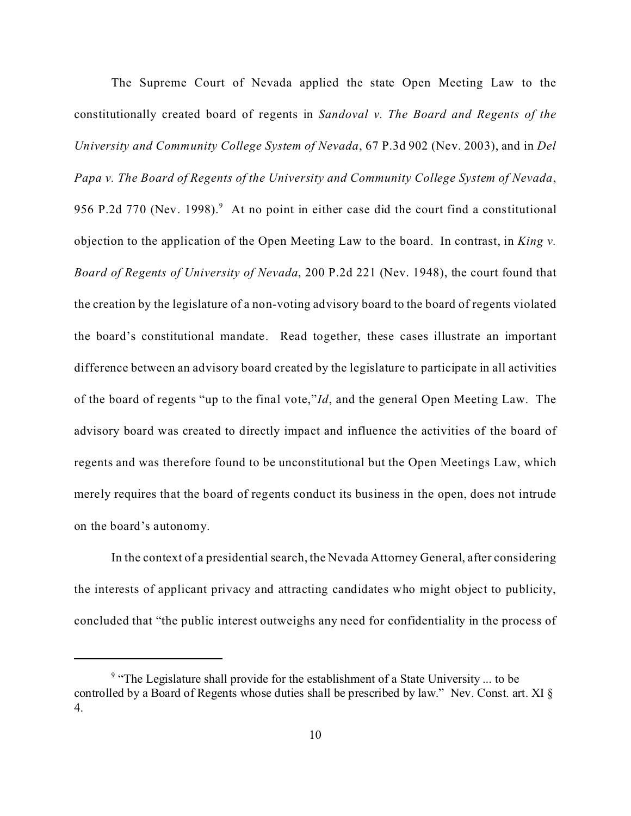The Supreme Court of Nevada applied the state Open Meeting Law to the constitutionally created board of regents in *Sandoval v. The Board and Regents of the University and Community College System of Nevada*, 67 P.3d 902 (Nev. 2003), and in *Del Papa v. The Board of Regents of the University and Community College System of Nevada*, 956 P.2d 770 (Nev. 1998). $9$  At no point in either case did the court find a constitutional objection to the application of the Open Meeting Law to the board. In contrast, in *King v. Board of Regents of University of Nevada*, 200 P.2d 221 (Nev. 1948), the court found that the creation by the legislature of a non-voting advisory board to the board of regents violated the board's constitutional mandate. Read together, these cases illustrate an important difference between an advisory board created by the legislature to participate in all activities of the board of regents "up to the final vote,"*Id*, and the general Open Meeting Law. The advisory board was created to directly impact and influence the activities of the board of regents and was therefore found to be unconstitutional but the Open Meetings Law, which merely requires that the board of regents conduct its business in the open, does not intrude on the board's autonomy.

In the context of a presidential search, the Nevada Attorney General, after considering the interests of applicant privacy and attracting candidates who might object to publicity, concluded that "the public interest outweighs any need for confidentiality in the process of

<sup>&</sup>lt;sup>9</sup> "The Legislature shall provide for the establishment of a State University ... to be controlled by a Board of Regents whose duties shall be prescribed by law." Nev. Const. art. XI § 4.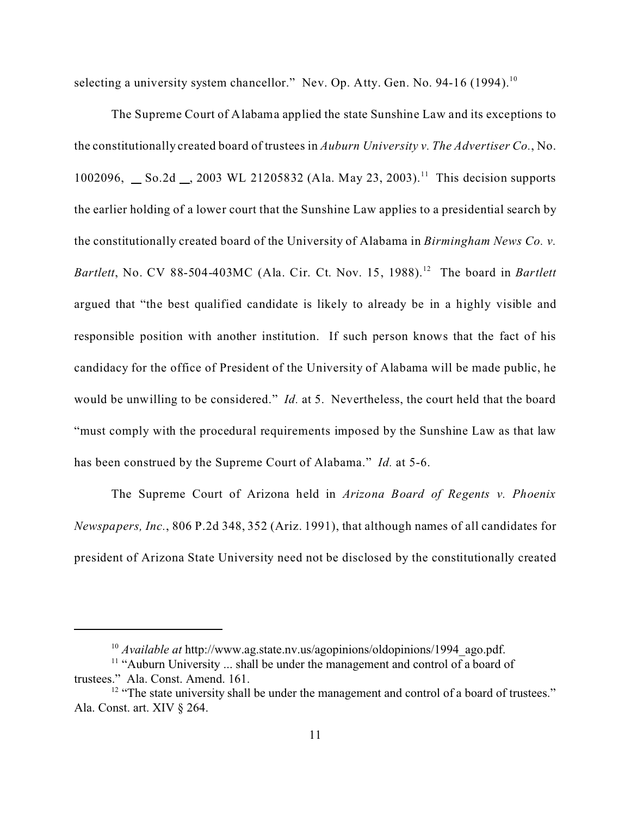selecting a university system chancellor." Nev. Op. Atty. Gen. No. 94-16 (1994).<sup>10</sup>

The Supreme Court of Alabama applied the state Sunshine Law and its exceptions to the constitutionally created board of trustees in *Auburn University v. The Advertiser Co.*, No. 1002096, So.2d  $\ldots$ , 2003 WL 21205832 (Ala. May 23, 2003).<sup>11</sup> This decision supports the earlier holding of a lower court that the Sunshine Law applies to a presidential search by the constitutionally created board of the University of Alabama in *Birmingham News Co. v. Bartlett*, No. CV 88-504-403MC (Ala. Cir. Ct. Nov. 15, 1988).<sup>12</sup> The board in *Bartlett* argued that "the best qualified candidate is likely to already be in a highly visible and responsible position with another institution. If such person knows that the fact of his candidacy for the office of President of the University of Alabama will be made public, he would be unwilling to be considered." *Id.* at 5. Nevertheless, the court held that the board "must comply with the procedural requirements imposed by the Sunshine Law as that law has been construed by the Supreme Court of Alabama." *Id.* at 5-6.

The Supreme Court of Arizona held in *Arizona Board of Regents v. Phoenix Newspapers, Inc.*, 806 P.2d 348, 352 (Ariz. 1991), that although names of all candidates for president of Arizona State University need not be disclosed by the constitutionally created

<sup>&</sup>lt;sup>10</sup> *Available at* http://www.ag.state.nv.us/agopinions/oldopinions/1994\_ago.pdf.

<sup>&</sup>lt;sup>11</sup> "Auburn University ... shall be under the management and control of a board of trustees." Ala. Const. Amend. 161.

 $12$  "The state university shall be under the management and control of a board of trustees." Ala. Const. art. XIV § 264.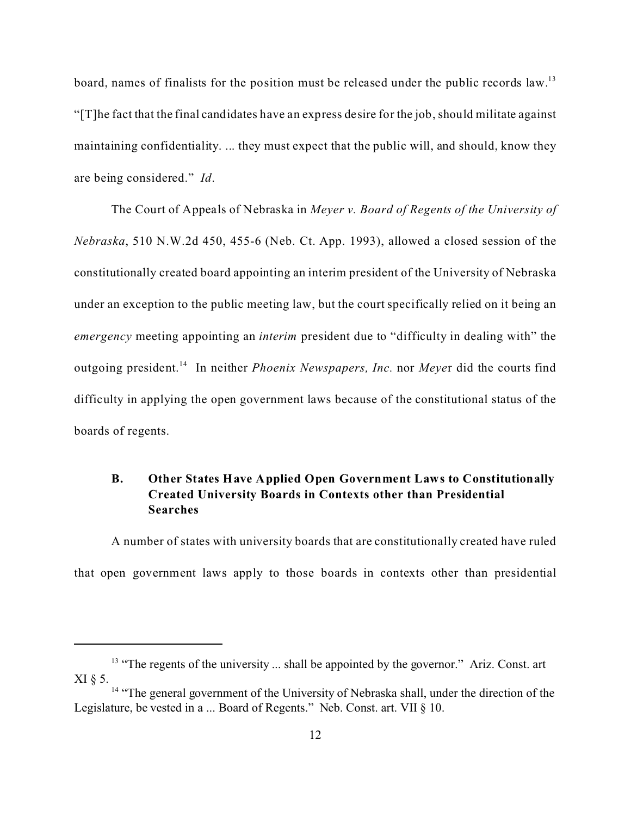board, names of finalists for the position must be released under the public records law.<sup>13</sup> "[T]he fact that the final candidates have an express desire for the job, should militate against maintaining confidentiality. ... they must expect that the public will, and should, know they are being considered." *Id*.

The Court of Appeals of Nebraska in *Meyer v. Board of Regents of the University of Nebraska*, 510 N.W.2d 450, 455-6 (Neb. Ct. App. 1993), allowed a closed session of the constitutionally created board appointing an interim president of the University of Nebraska under an exception to the public meeting law, but the court specifically relied on it being an *emergency* meeting appointing an *interim* president due to "difficulty in dealing with" the outgoing president.<sup>14</sup> In neither *Phoenix Newspapers, Inc.* nor *Meye*r did the courts find difficulty in applying the open government laws because of the constitutional status of the boards of regents.

## **B. Other States Have Applied Open Government Laws to Constitutionally Created University Boards in Contexts other than Presidential Searches**

A number of states with university boards that are constitutionally created have ruled that open government laws apply to those boards in contexts other than presidential

 $13$  "The regents of the university ... shall be appointed by the governor." Ariz. Const. art XI § 5.

<sup>&</sup>lt;sup>14</sup> "The general government of the University of Nebraska shall, under the direction of the Legislature, be vested in a ... Board of Regents." Neb. Const. art. VII § 10.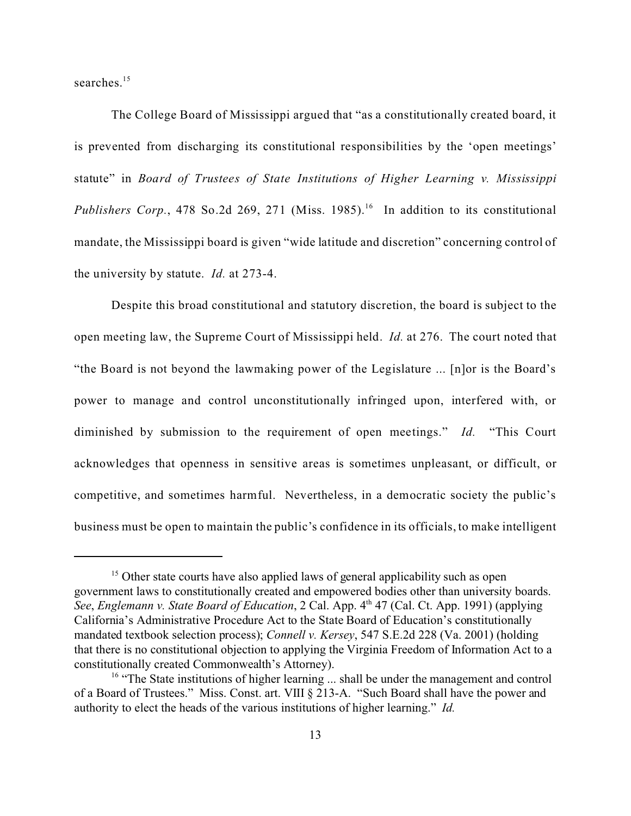searches<sup>15</sup>

The College Board of Mississippi argued that "as a constitutionally created board, it is prevented from discharging its constitutional responsibilities by the 'open meetings' statute" in *Board of Trustees of State Institutions of Higher Learning v. Mississippi* Publishers Corp., 478 So.2d 269, 271 (Miss. 1985).<sup>16</sup> In addition to its constitutional mandate, the Mississippi board is given "wide latitude and discretion" concerning control of the university by statute. *Id.* at 273-4.

Despite this broad constitutional and statutory discretion, the board is subject to the open meeting law, the Supreme Court of Mississippi held. *Id.* at 276. The court noted that "the Board is not beyond the lawmaking power of the Legislature ... [n]or is the Board's power to manage and control unconstitutionally infringed upon, interfered with, or diminished by submission to the requirement of open meetings." *Id.* "This Court acknowledges that openness in sensitive areas is sometimes unpleasant, or difficult, or competitive, and sometimes harmful. Nevertheless, in a democratic society the public's business must be open to maintain the public's confidence in its officials, to make intelligent

<sup>&</sup>lt;sup>15</sup> Other state courts have also applied laws of general applicability such as open government laws to constitutionally created and empowered bodies other than university boards. *See, Englemann v. State Board of Education, 2 Cal. App. 4<sup>th</sup> 47 (Cal. Ct. App. 1991) (applying* California's Administrative Procedure Act to the State Board of Education's constitutionally mandated textbook selection process); *Connell v. Kersey*, 547 S.E.2d 228 (Va. 2001) (holding that there is no constitutional objection to applying the Virginia Freedom of Information Act to a constitutionally created Commonwealth's Attorney).

<sup>&</sup>lt;sup>16</sup> "The State institutions of higher learning ... shall be under the management and control of a Board of Trustees." Miss. Const. art. VIII § 213-A. "Such Board shall have the power and authority to elect the heads of the various institutions of higher learning." *Id.*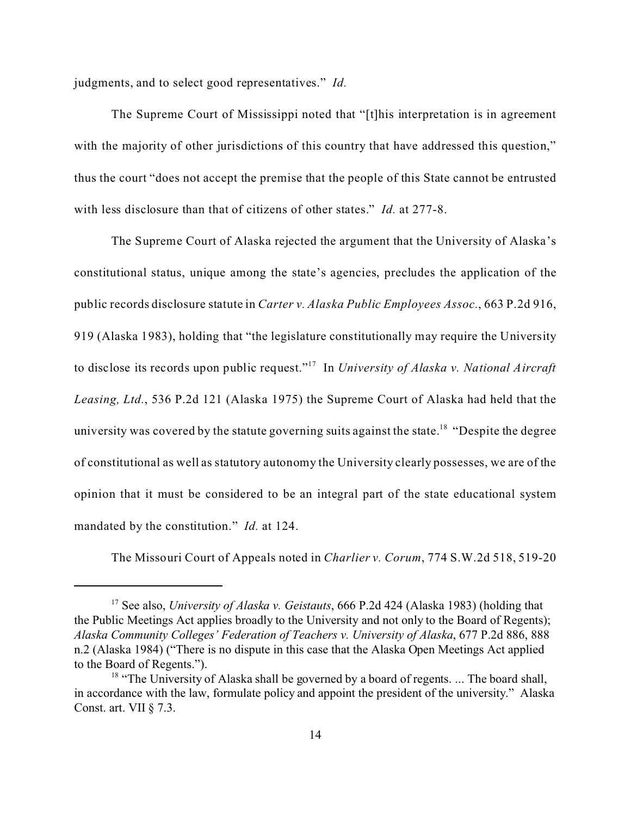judgments, and to select good representatives." *Id.*

The Supreme Court of Mississippi noted that "[t]his interpretation is in agreement with the majority of other jurisdictions of this country that have addressed this question," thus the court "does not accept the premise that the people of this State cannot be entrusted with less disclosure than that of citizens of other states." *Id.* at 277-8.

The Supreme Court of Alaska rejected the argument that the University of Alaska's constitutional status, unique among the state's agencies, precludes the application of the public records disclosure statute in *Carter v. Alaska Public Employees Assoc.*, 663 P.2d 916, 919 (Alaska 1983), holding that "the legislature constitutionally may require the University to disclose its records upon public request."<sup>17</sup> In *University of Alaska v. National Aircraft Leasing, Ltd.*, 536 P.2d 121 (Alaska 1975) the Supreme Court of Alaska had held that the university was covered by the statute governing suits against the state.<sup>18</sup> "Despite the degree" of constitutional as well as statutory autonomy the University clearly possesses, we are of the opinion that it must be considered to be an integral part of the state educational system mandated by the constitution." *Id.* at 124.

The Missouri Court of Appeals noted in *Charlier v. Corum*, 774 S.W.2d 518, 519-20

<sup>17</sup> See also, *University of Alaska v. Geistauts*, 666 P.2d 424 (Alaska 1983) (holding that the Public Meetings Act applies broadly to the University and not only to the Board of Regents); *Alaska Community Colleges' Federation of Teachers v. University of Alaska*, 677 P.2d 886, 888 n.2 (Alaska 1984) ("There is no dispute in this case that the Alaska Open Meetings Act applied to the Board of Regents.").

 $18$  "The University of Alaska shall be governed by a board of regents. ... The board shall, in accordance with the law, formulate policy and appoint the president of the university." Alaska Const. art. VII § 7.3.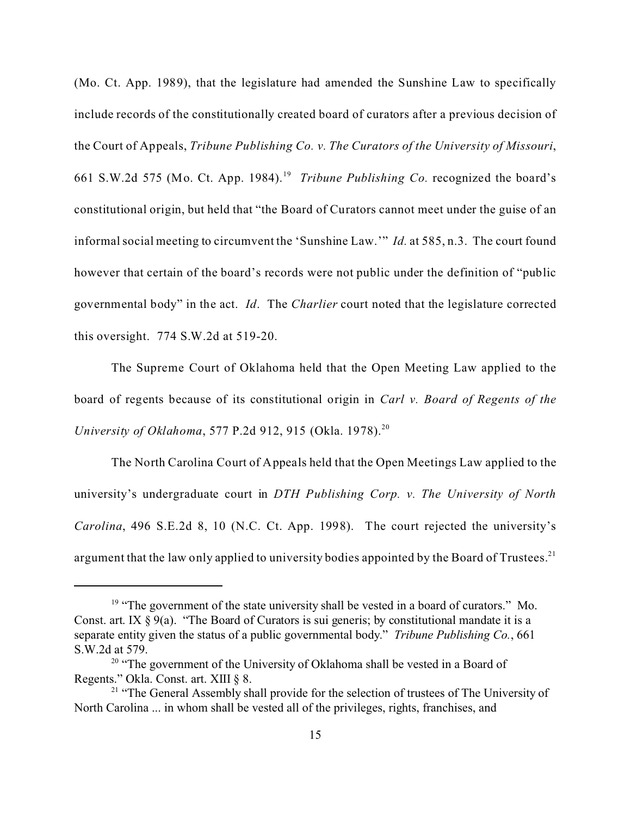(Mo. Ct. App. 1989), that the legislature had amended the Sunshine Law to specifically include records of the constitutionally created board of curators after a previous decision of the Court of Appeals, *Tribune Publishing Co. v. The Curators of the University of Missouri*, 661 S.W.2d 575 (Mo. Ct. App. 1984).<sup>19</sup> *Tribune Publishing Co.* recognized the board's constitutional origin, but held that "the Board of Curators cannot meet under the guise of an informal social meeting to circumvent the 'Sunshine Law.'" *Id.* at 585, n.3. The court found however that certain of the board's records were not public under the definition of "public governmental body" in the act. *Id*. The *Charlier* court noted that the legislature corrected this oversight. 774 S.W.2d at 519-20.

The Supreme Court of Oklahoma held that the Open Meeting Law applied to the board of regents because of its constitutional origin in *Carl v. Board of Regents of the University of Oklahoma*, 577 P.2d 912, 915 (Okla. 1978).<sup>20</sup>

The North Carolina Court of Appeals held that the Open Meetings Law applied to the university's undergraduate court in *DTH Publishing Corp. v. The University of North Carolina*, 496 S.E.2d 8, 10 (N.C. Ct. App. 1998). The court rejected the university's argument that the law only applied to university bodies appointed by the Board of Trustees.<sup>21</sup>

<sup>&</sup>lt;sup>19</sup> "The government of the state university shall be vested in a board of curators." Mo. Const. art. IX  $\S 9(a)$ . "The Board of Curators is sui generis; by constitutional mandate it is a separate entity given the status of a public governmental body." *Tribune Publishing Co.*, 661 S.W.2d at 579.

<sup>&</sup>lt;sup>20</sup> "The government of the University of Oklahoma shall be vested in a Board of Regents." Okla. Const. art. XIII § 8.

<sup>&</sup>lt;sup>21</sup> "The General Assembly shall provide for the selection of trustees of The University of North Carolina ... in whom shall be vested all of the privileges, rights, franchises, and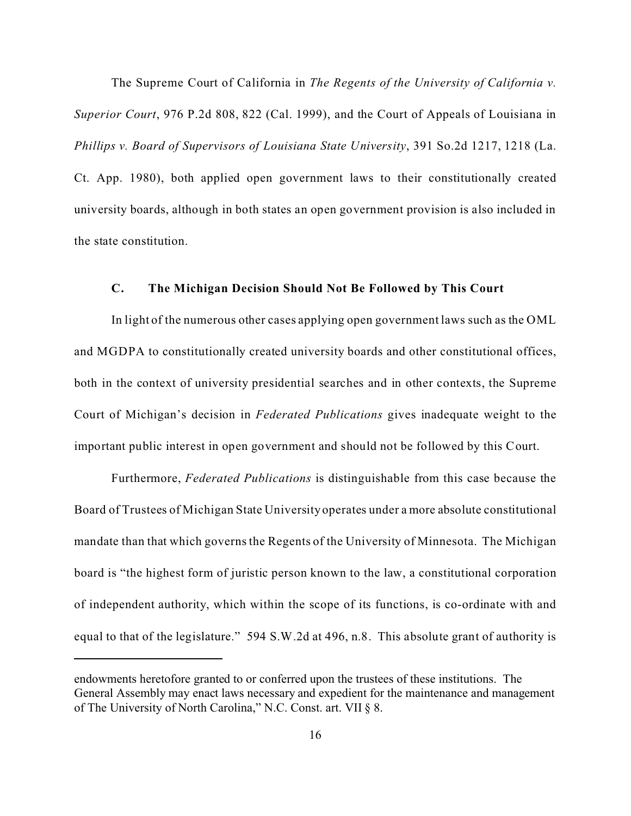The Supreme Court of California in *The Regents of the University of California v. Superior Court*, 976 P.2d 808, 822 (Cal. 1999), and the Court of Appeals of Louisiana in *Phillips v. Board of Supervisors of Louisiana State University*, 391 So.2d 1217, 1218 (La. Ct. App. 1980), both applied open government laws to their constitutionally created university boards, although in both states an open government provision is also included in the state constitution.

### **C. The Michigan Decision Should Not Be Followed by This Court**

In light of the numerous other cases applying open government laws such as the OML and MGDPA to constitutionally created university boards and other constitutional offices, both in the context of university presidential searches and in other contexts, the Supreme Court of Michigan's decision in *Federated Publications* gives inadequate weight to the important public interest in open government and should not be followed by this Court.

Furthermore, *Federated Publications* is distinguishable from this case because the Board of Trustees of Michigan State University operates under a more absolute constitutional mandate than that which governs the Regents of the University of Minnesota. The Michigan board is "the highest form of juristic person known to the law, a constitutional corporation of independent authority, which within the scope of its functions, is co-ordinate with and equal to that of the legislature." 594 S.W.2d at 496, n.8. This absolute grant of authority is

endowments heretofore granted to or conferred upon the trustees of these institutions. The General Assembly may enact laws necessary and expedient for the maintenance and management of The University of North Carolina," N.C. Const. art. VII § 8.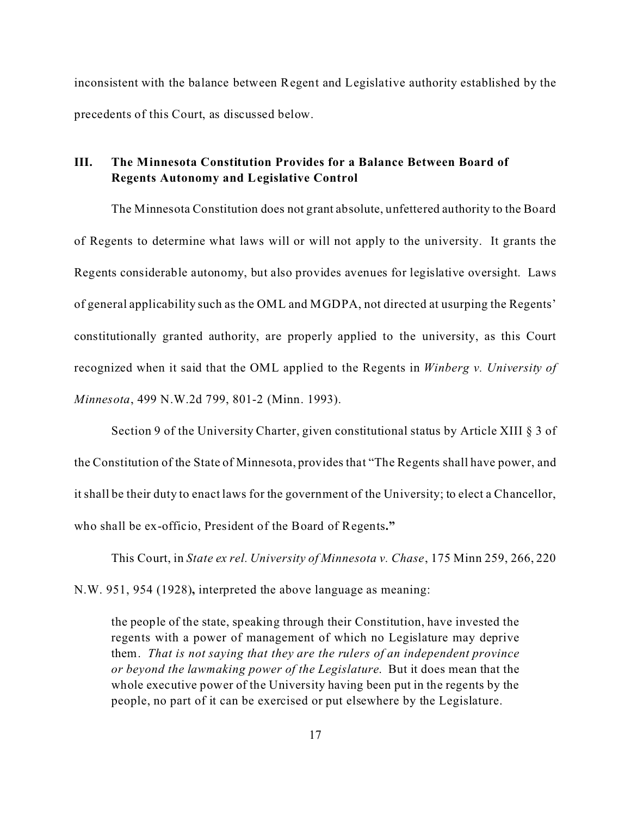inconsistent with the balance between Regent and Legislative authority established by the precedents of this Court, as discussed below.

## **III. The Minnesota Constitution Provides for a Balance Between Board of Regents Autonomy and Legislative Control**

The Minnesota Constitution does not grant absolute, unfettered authority to the Board of Regents to determine what laws will or will not apply to the university. It grants the Regents considerable autonomy, but also provides avenues for legislative oversight. Laws of general applicability such as the OML and MGDPA, not directed at usurping the Regents' constitutionally granted authority, are properly applied to the university, as this Court recognized when it said that the OML applied to the Regents in *Winberg v. University of Minnesota*, 499 N.W.2d 799, 801-2 (Minn. 1993).

Section 9 of the University Charter, given constitutional status by Article XIII § 3 of the Constitution of the State of Minnesota, provides that "The Regents shall have power, and it shall be their duty to enact laws for the government of the University; to elect a Chancellor, who shall be ex-officio, President of the Board of Regents**."**

This Court, in *State ex rel. University of Minnesota v. Chase*, 175 Minn 259, 266, 220 N.W. 951, 954 (1928)**,** interpreted the above language as meaning:

the people of the state, speaking through their Constitution, have invested the regents with a power of management of which no Legislature may deprive them. *That is not saying that they are the rulers of an independent province or beyond the lawmaking power of the Legislature*. But it does mean that the whole executive power of the University having been put in the regents by the people, no part of it can be exercised or put elsewhere by the Legislature.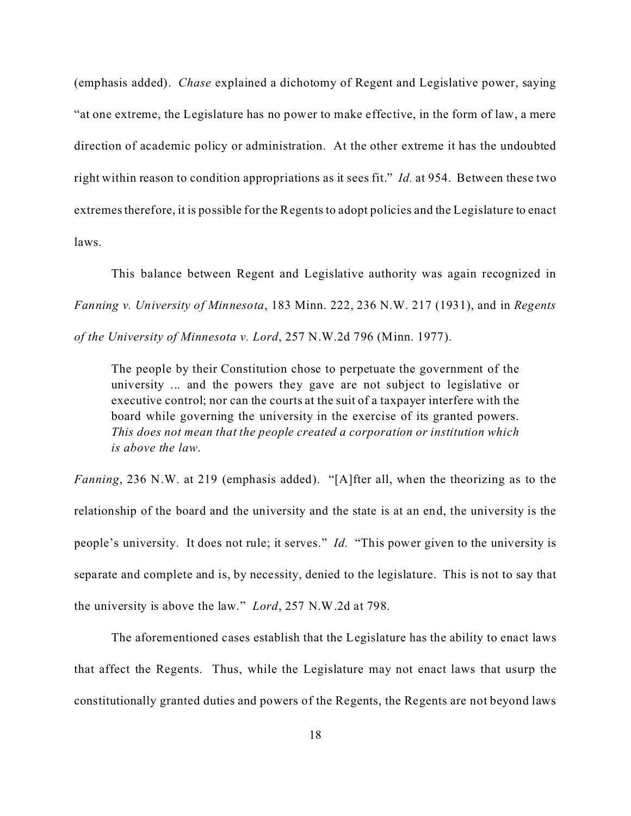(emphasis added). *Chase* explained a dichotomy of Regent and Legislative power, saying "at one extreme, the Legislature has no power to make effective, in the form of law, a mere direction of academic policy or administration. At the other extreme it has the undoubted right within reason to condition appropriations as it sees fit." *Id.* at 954.Between these two extremestherefore, it is possible for the Regents to adopt policies and the Legislature to enact laws.

This balance between Regent and Legislative authority was again recognized in *Fanning v. University of Minnesota*, 183 Minn. 222, 236 N.W. 217 (1931), and in *Regents of the University of Minnesota v. Lord*, 257 N.W.2d 796 (Minn. 1977).

The people by their Constitution chose to perpetuate the government of the university ... and the powers they gave are not subject to legislative or executive control; nor can the courts at the suit of a taxpayer interfere with the board while governing the university in the exercise of its granted powers. *This does not mean that the people created a corporation or institution which is above the law*.

*Fanning*, 236 N.W. at 219 (emphasis added). "[A]fter all, when the theorizing as to the relationship of the board and the university and the state is at an end, the university is the people's university. It does not rule; it serves." *Id.* "This power given to the university is separate and complete and is, by necessity, denied to the legislature. This is not to say that the university is above the law." *Lord*, 257 N.W.2d at 798.

The aforementioned cases establish that the Legislature has the ability to enact laws that affect the Regents. Thus, while the Legislature may not enact laws that usurp the constitutionally granted duties and powers of the Regents, the Regents are not beyond laws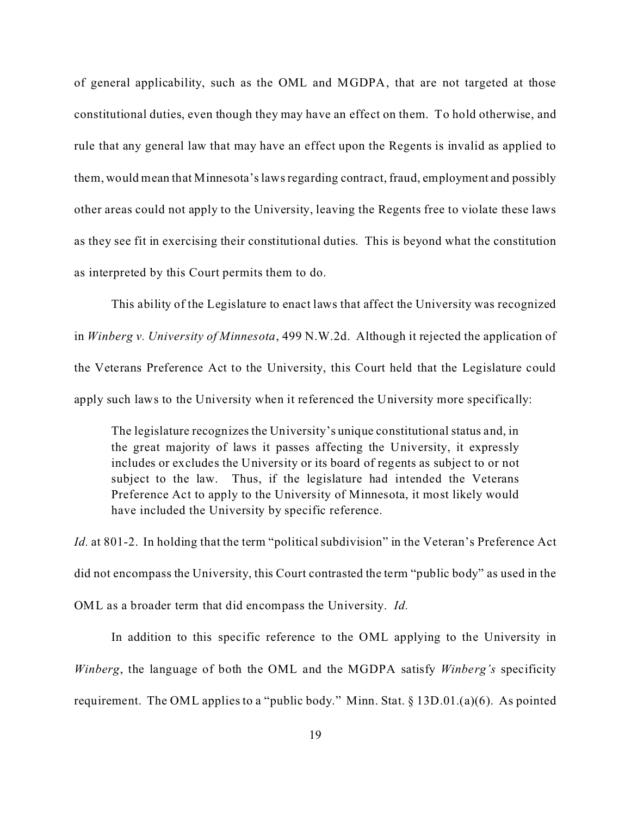of general applicability, such as the OML and MGDPA, that are not targeted at those constitutional duties, even though they may have an effect on them. To hold otherwise, and rule that any general law that may have an effect upon the Regents is invalid as applied to them, would mean that Minnesota's laws regarding contract, fraud, employment and possibly other areas could not apply to the University, leaving the Regents free to violate these laws as they see fit in exercising their constitutional duties. This is beyond what the constitution as interpreted by this Court permits them to do.

This ability of the Legislature to enact laws that affect the University was recognized in *Winberg v. University of Minnesota*, 499 N.W.2d. Although it rejected the application of the Veterans Preference Act to the University, this Court held that the Legislature could apply such laws to the University when it referenced the University more specifically:

The legislature recognizes the University's unique constitutional status and, in the great majority of laws it passes affecting the University, it expressly includes or excludes the University or its board of regents as subject to or not subject to the law. Thus, if the legislature had intended the Veterans Preference Act to apply to the University of Minnesota, it most likely would have included the University by specific reference.

*Id.* at 801-2. In holding that the term "political subdivision" in the Veteran's Preference Act did not encompass the University, this Court contrasted the term "public body" as used in the OML as a broader term that did encompass the University. *Id.*

In addition to this specific reference to the OML applying to the University in *Winberg*, the language of both the OML and the MGDPA satisfy *Winberg's* specificity requirement.The OML applies to a "public body." Minn. Stat. § 13D.01.(a)(6). As pointed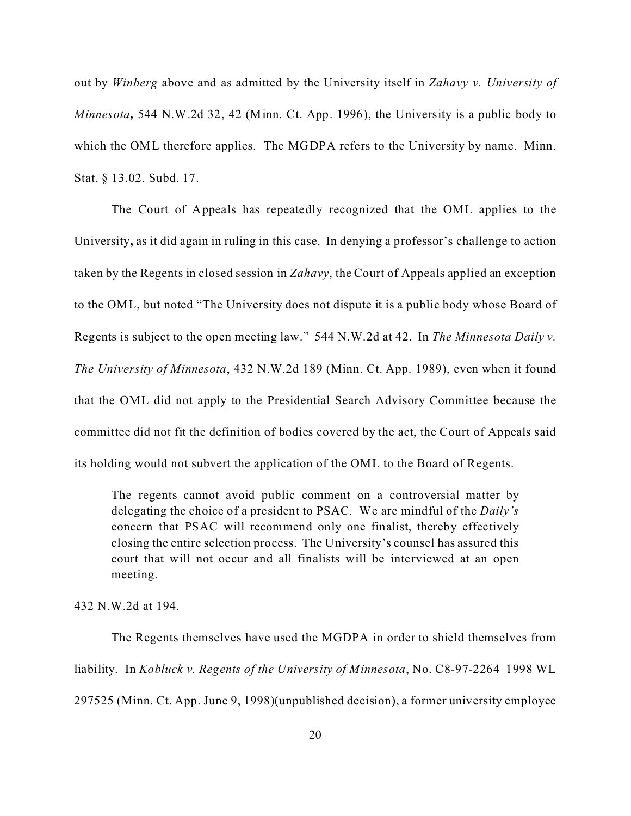out by *Winberg* above and as admitted by the University itself in *Zahavy v. University of Minnesota,* 544 N.W.2d 32, 42 (Minn. Ct. App. 1996), the University is a public body to which the OML therefore applies. The MGDPA refers to the University by name. Minn. Stat. § 13.02. Subd. 17.

The Court of Appeals has repeatedly recognized that the OML applies to the University**,** as it did again in ruling in this case. In denying a professor's challenge to action taken by the Regents in closed session in *Zahavy*, the Court of Appeals applied an exception to the OML, but noted "The University does not dispute it is a public body whose Board of Regents is subject to the open meeting law." 544 N.W.2d at 42.In *The Minnesota Daily v. The University of Minnesota*, 432 N.W.2d 189 (Minn. Ct. App. 1989), even when it found that the OML did not apply to the Presidential Search Advisory Committee because the committee did not fit the definition of bodies covered by the act, the Court of Appeals said its holding would not subvert the application of the OML to the Board of Regents.

The regents cannot avoid public comment on a controversial matter by delegating the choice of a president to PSAC. We are mindful of the *Daily's* concern that PSAC will recommend only one finalist, thereby effectively closing the entire selection process. The University's counsel has assured this court that will not occur and all finalists will be interviewed at an open meeting.

432 N.W.2d at 194.

The Regents themselves have used the MGDPA in order to shield themselves from liability. In *Kobluck v. Regents of the University of Minnesota*, No. C8-97-2264 1998 WL 297525 (Minn. Ct. App. June 9, 1998)(unpublished decision), a former university employee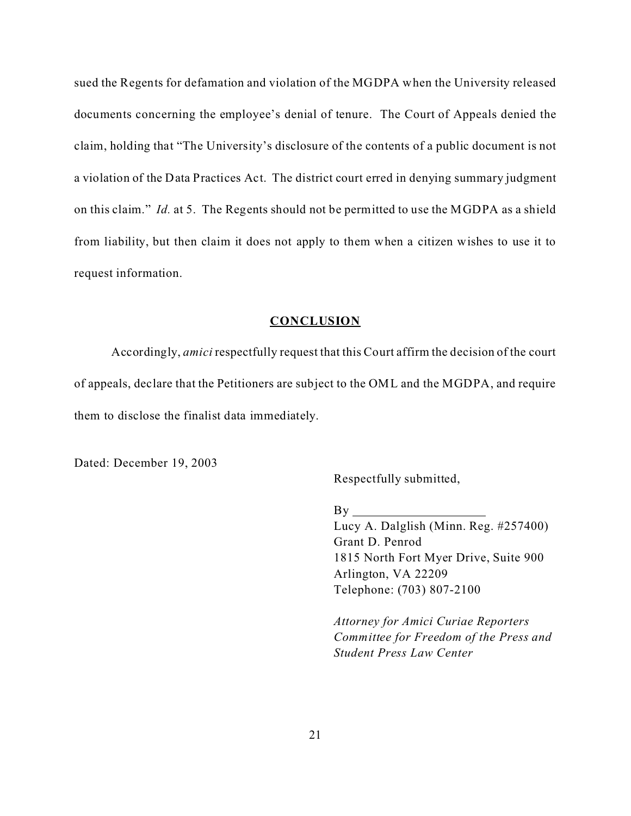sued the Regents for defamation and violation of the MGDPA when the University released documents concerning the employee's denial of tenure. The Court of Appeals denied the claim, holding that "The University's disclosure of the contents of a public document is not a violation of the Data Practices Act. The district court erred in denying summary judgment on this claim." *Id.* at 5.The Regents should not be permitted to use the MGDPA as a shield from liability, but then claim it does not apply to them when a citizen wishes to use it to request information.

#### **CONCLUSION**

Accordingly, *amici* respectfully request that this Court affirm the decision of the court of appeals, declare that the Petitioners are subject to the OML and the MGDPA, and require them to disclose the finalist data immediately.

Dated: December 19, 2003

Respectfully submitted,

 $By_$ 

Lucy A. Dalglish (Minn. Reg. #257400) Grant D. Penrod 1815 North Fort Myer Drive, Suite 900 Arlington, VA 22209 Telephone: (703) 807-2100

*Attorney for Amici Curiae Reporters Committee for Freedom of the Press and Student Press Law Center*